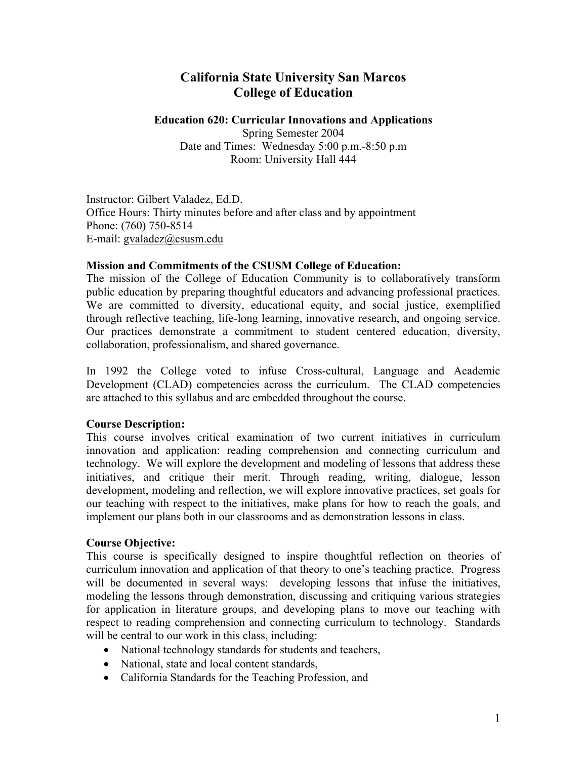# **California State University San Marcos College of Education**

# **Education 620: Curricular Innovations and Applications**

Spring Semester 2004 Date and Times: Wednesday 5:00 p.m.-8:50 p.m Room: University Hall 444

Instructor: Gilbert Valadez, Ed.D. Office Hours: Thirty minutes before and after class and by appointment Phone: (760) 750-8514 E-mail: gvaladez@csusm.edu

# **Mission and Commitments of the CSUSM College of Education:**

The mission of the College of Education Community is to collaboratively transform public education by preparing thoughtful educators and advancing professional practices. We are committed to diversity, educational equity, and social justice, exemplified through reflective teaching, life-long learning, innovative research, and ongoing service. Our practices demonstrate a commitment to student centered education, diversity, collaboration, professionalism, and shared governance.

In 1992 the College voted to infuse Cross-cultural, Language and Academic Development (CLAD) competencies across the curriculum. The CLAD competencies are attached to this syllabus and are embedded throughout the course.

# **Course Description:**

This course involves critical examination of two current initiatives in curriculum innovation and application: reading comprehension and connecting curriculum and technology. We will explore the development and modeling of lessons that address these initiatives, and critique their merit. Through reading, writing, dialogue, lesson development, modeling and reflection, we will explore innovative practices, set goals for our teaching with respect to the initiatives, make plans for how to reach the goals, and implement our plans both in our classrooms and as demonstration lessons in class.

# **Course Objective:**

This course is specifically designed to inspire thoughtful reflection on theories of curriculum innovation and application of that theory to one's teaching practice. Progress will be documented in several ways: developing lessons that infuse the initiatives, modeling the lessons through demonstration, discussing and critiquing various strategies for application in literature groups, and developing plans to move our teaching with respect to reading comprehension and connecting curriculum to technology. Standards will be central to our work in this class, including:

- National technology standards for students and teachers,
- National, state and local content standards,
- California Standards for the Teaching Profession, and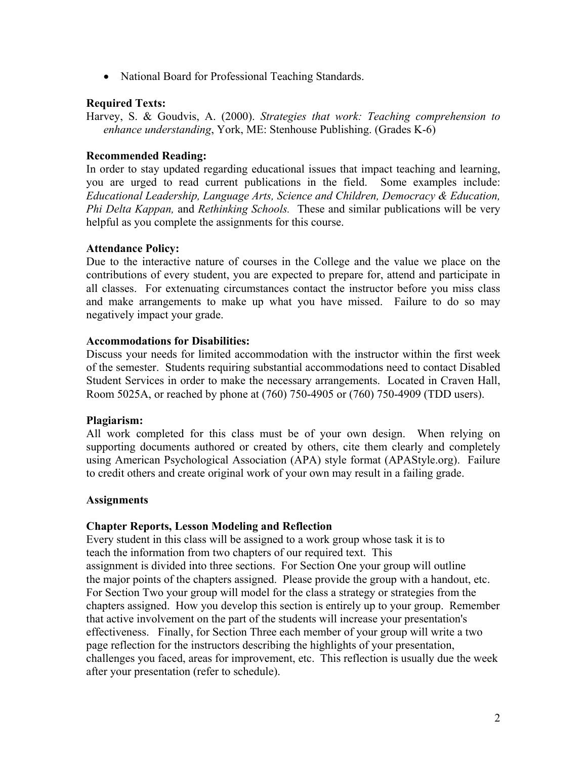• National Board for Professional Teaching Standards.

# **Required Texts:**

Harvey, S. & Goudvis, A. (2000). *Strategies that work: Teaching comprehension to enhance understanding*, York, ME: Stenhouse Publishing. (Grades K-6)

### **Recommended Reading:**

In order to stay updated regarding educational issues that impact teaching and learning, you are urged to read current publications in the field. Some examples include: *Educational Leadership, Language Arts, Science and Children, Democracy & Education, Phi Delta Kappan,* and *Rethinking Schools.* These and similar publications will be very helpful as you complete the assignments for this course.

# **Attendance Policy:**

Due to the interactive nature of courses in the College and the value we place on the contributions of every student, you are expected to prepare for, attend and participate in all classes. For extenuating circumstances contact the instructor before you miss class and make arrangements to make up what you have missed. Failure to do so may negatively impact your grade.

# **Accommodations for Disabilities:**

Discuss your needs for limited accommodation with the instructor within the first week of the semester. Students requiring substantial accommodations need to contact Disabled Student Services in order to make the necessary arrangements. Located in Craven Hall, Room 5025A, or reached by phone at (760) 750-4905 or (760) 750-4909 (TDD users).

#### **Plagiarism:**

All work completed for this class must be of your own design. When relying on supporting documents authored or created by others, cite them clearly and completely using American Psychological Association (APA) style format (APAStyle.org). Failure to credit others and create original work of your own may result in a failing grade.

#### **Assignments**

# **Chapter Reports, Lesson Modeling and Reflection**

Every student in this class will be assigned to a work group whose task it is to teach the information from two chapters of our required text. This assignment is divided into three sections. For Section One your group will outline the major points of the chapters assigned. Please provide the group with a handout, etc. For Section Two your group will model for the class a strategy or strategies from the chapters assigned. How you develop this section is entirely up to your group. Remember that active involvement on the part of the students will increase your presentation's effectiveness. Finally, for Section Three each member of your group will write a two page reflection for the instructors describing the highlights of your presentation, challenges you faced, areas for improvement, etc. This reflection is usually due the week after your presentation (refer to schedule).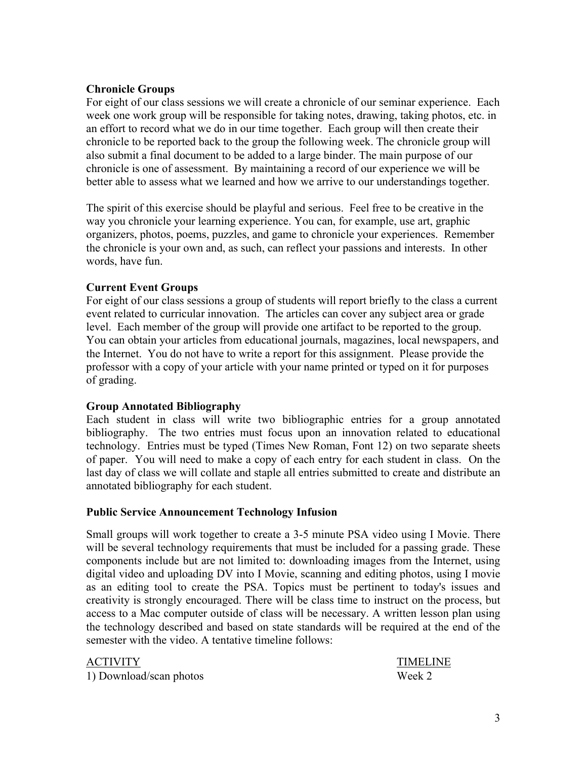# **Chronicle Groups**

For eight of our class sessions we will create a chronicle of our seminar experience. Each week one work group will be responsible for taking notes, drawing, taking photos, etc. in an effort to record what we do in our time together. Each group will then create their chronicle to be reported back to the group the following week. The chronicle group will also submit a final document to be added to a large binder. The main purpose of our chronicle is one of assessment. By maintaining a record of our experience we will be better able to assess what we learned and how we arrive to our understandings together.

The spirit of this exercise should be playful and serious. Feel free to be creative in the way you chronicle your learning experience. You can, for example, use art, graphic organizers, photos, poems, puzzles, and game to chronicle your experiences. Remember the chronicle is your own and, as such, can reflect your passions and interests. In other words, have fun.

# **Current Event Groups**

For eight of our class sessions a group of students will report briefly to the class a current event related to curricular innovation. The articles can cover any subject area or grade level. Each member of the group will provide one artifact to be reported to the group. You can obtain your articles from educational journals, magazines, local newspapers, and the Internet. You do not have to write a report for this assignment. Please provide the professor with a copy of your article with your name printed or typed on it for purposes of grading.

#### **Group Annotated Bibliography**

Each student in class will write two bibliographic entries for a group annotated bibliography. The two entries must focus upon an innovation related to educational technology. Entries must be typed (Times New Roman, Font 12) on two separate sheets of paper. You will need to make a copy of each entry for each student in class. On the last day of class we will collate and staple all entries submitted to create and distribute an annotated bibliography for each student.

#### **Public Service Announcement Technology Infusion**

Small groups will work together to create a 3-5 minute PSA video using I Movie. There will be several technology requirements that must be included for a passing grade. These components include but are not limited to: downloading images from the Internet, using digital video and uploading DV into I Movie, scanning and editing photos, using I movie as an editing tool to create the PSA. Topics must be pertinent to today's issues and creativity is strongly encouraged. There will be class time to instruct on the process, but access to a Mac computer outside of class will be necessary. A written lesson plan using the technology described and based on state standards will be required at the end of the semester with the video. A tentative timeline follows:

1) Download/scan photos Week 2

ACTIVITYTIMELINE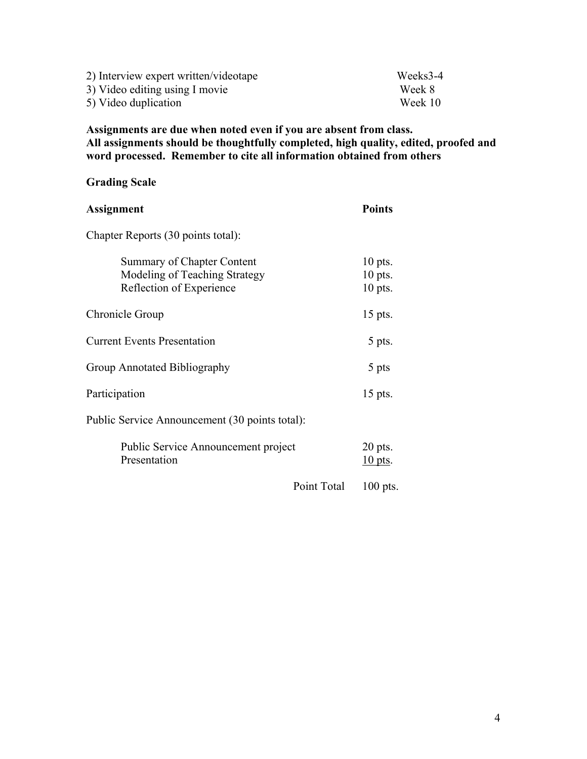| 2) Interview expert written/videotape | Weeks3-4 |
|---------------------------------------|----------|
| 3) Video editing using I movie        | Week 8   |
| 5) Video duplication                  | Week 10  |

**Assignments are due when noted even if you are absent from class. All assignments should be thoughtfully completed, high quality, edited, proofed and word processed. Remember to cite all information obtained from others** 

# **Grading Scale**

| <b>Assignment</b>                                                                       | <b>Points</b>                       |
|-----------------------------------------------------------------------------------------|-------------------------------------|
| Chapter Reports (30 points total):                                                      |                                     |
| Summary of Chapter Content<br>Modeling of Teaching Strategy<br>Reflection of Experience | $10$ pts.<br>$10$ pts.<br>$10$ pts. |
| Chronicle Group                                                                         | 15 pts.                             |
| <b>Current Events Presentation</b>                                                      | 5 pts.                              |
| Group Annotated Bibliography                                                            | 5 pts                               |
| Participation                                                                           | 15 pts.                             |
| Public Service Announcement (30 points total):                                          |                                     |
| <b>Public Service Announcement project</b><br>Presentation                              | $20$ pts.<br>$10$ pts.              |
| Point Total                                                                             | $100$ pts.                          |